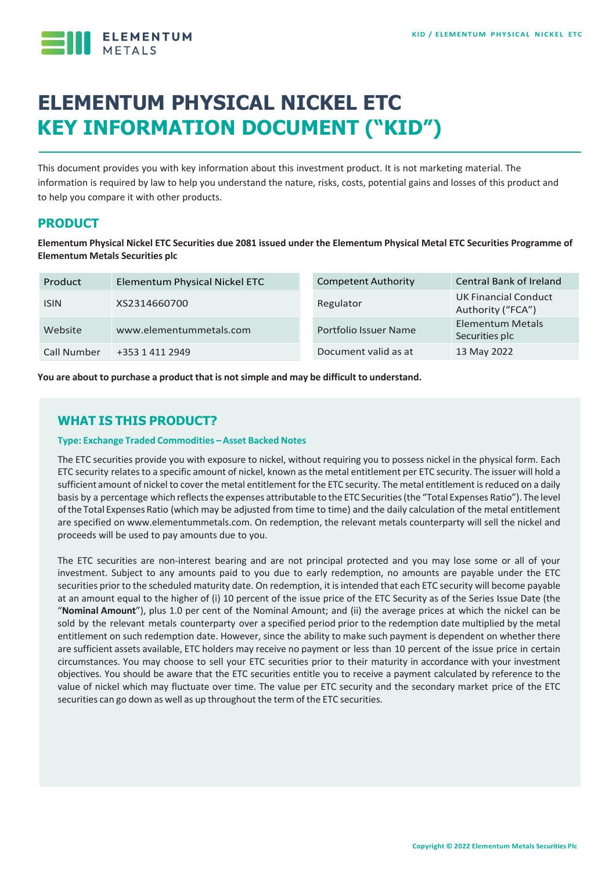

# **ELEMENTUM PHYSICAL NICKEL ETC KEY INFORMATION DOCUMENT ("KID")**

This document provides you with key information about this investment product. It is not marketing material. The information is required by law to help you understand the nature, risks, costs, potential gains and losses of this product and to help you compare it with other products.

# **PRODUCT**

**Elementum Physical Nickel ETC Securities due 2081 issued under the Elementum Physical Metal ETC Securities Programme of Elementum Metals Securities plc**

| Product     | Elementum Physical Nickel ETC | <b>Competent Authority</b> | <b>Central Bank of Ireland</b>            |
|-------------|-------------------------------|----------------------------|-------------------------------------------|
| <b>ISIN</b> | XS2314660700                  | Regulator                  | UK Financial Conduct<br>Authority ("FCA") |
| Website     | www.elementummetals.com       | Portfolio Issuer Name      | Elementum Metals<br>Securities plc        |
| Call Number | +353 1 411 2949               | Document valid as at       | 13 May 2022                               |

**You are about to purchase a product that is notsimple and may be difficult to understand.**

# **WHAT IS THIS PRODUCT?**

#### **Type: Exchange Traded Commodities –Asset Backed Notes**

The ETC securities provide you with exposure to nickel, without requiring you to possess nickel in the physical form. Each ETC security relates to a specific amount of nickel, known as the metal entitlement per ETC security. The issuer will hold a sufficient amount of nickel to cover the metal entitlement for the ETC security. The metal entitlement is reduced on a daily basis by a percentage which reflects the expenses attributable to the ETC Securities (the "Total Expenses Ratio"). The level ofthe Total Expenses Ratio (which may be adjusted from time to time) and the daily calculation of the metal entitlement are specified on www.elementummetals.com. On redemption, the relevant metals counterparty will sell the nickel and proceeds will be used to pay amounts due to you.

The ETC securities are non-interest bearing and are not principal protected and you may lose some or all of your investment. Subject to any amounts paid to you due to early redemption, no amounts are payable under the ETC securities prior to the scheduled maturity date. On redemption, it is intended that each ETC security will become payable at an amount equal to the higher of (i) 10 percent of the issue price of the ETC Security as of the Series Issue Date (the "**Nominal Amount**"), plus 1.0 per cent of the Nominal Amount; and (ii) the average prices at which the nickel can be sold by the relevant metals counterparty over a specified period prior to the redemption date multiplied by the metal entitlement on such redemption date. However, since the ability to make such payment is dependent on whether there are sufficient assets available, ETC holders may receive no payment or less than 10 percent of the issue price in certain circumstances. You may choose to sell your ETC securities prior to their maturity in accordance with your investment objectives. You should be aware that the ETC securities entitle you to receive a payment calculated by reference to the value of nickel which may fluctuate over time. The value per ETC security and the secondary market price of the ETC securities can go down as well as up throughout the term of the ETC securities.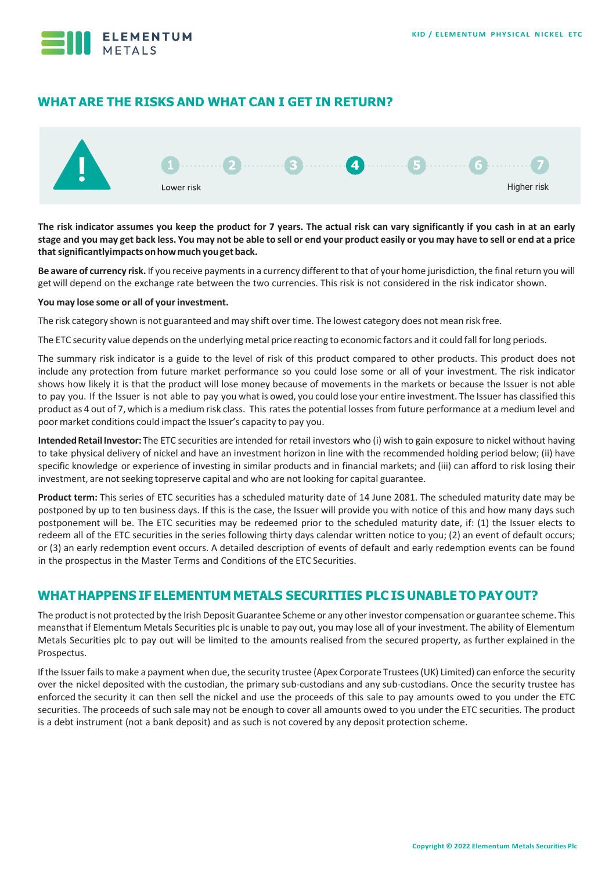

# **WHAT ARE THE RISKS AND WHAT CAN I GET IN RETURN?**



**The risk indicator assumes you keep the product for 7 years. The actual risk can vary significantly if you cash in at an early**  stage and you may get back less. You may not be able to sell or end your product easily or you may have to sell or end at a price **thatsignificantlyimpactsonhowmuchyougetback.**

Be aware of currency risk. If you receive payments in a currency different to that of your home jurisdiction, the final return you will getwill depend on the exchange rate between the two currencies. This risk is not considered in the risk indicator shown.

#### **You may lose some or all of your investment.**

The risk category shown is not guaranteed and may shift over time. The lowest category does not mean risk free.

The ETC security value depends on the underlying metal price reacting to economic factors and it could fall forlong periods.

The summary risk indicator is a guide to the level of risk of this product compared to other products. This product does not include any protection from future market performance so you could lose some or all of your investment. The risk indicator shows how likely it is that the product will lose money because of movements in the markets or because the Issuer is not able to pay you. If the Issuer is not able to pay you what is owed, you could lose your entire investment. The Issuer has classified this product as 4 out of 7, which is a medium risk class. This rates the potential losses from future performance at a medium level and poor market conditions could impact the Issuer's capacity to pay you.

Intended Retail Investor: The ETC securities are intended for retail investors who (i) wish to gain exposure to nickel without having to take physical delivery of nickel and have an investment horizon in line with the recommended holding period below; (ii) have specific knowledge or experience of investing in similar products and in financial markets; and (iii) can afford to risk losing their investment, are not seeking topreserve capital and who are not looking for capital guarantee.

**Product term:** This series of ETC securities has a scheduled maturity date of 14 June 2081. The scheduled maturity date may be postponed by up to ten business days. If this is the case, the Issuer will provide you with notice of this and how many days such postponement will be. The ETC securities may be redeemed prior to the scheduled maturity date, if: (1) the Issuer elects to redeem all of the ETC securities in the series following thirty days calendar written notice to you; (2) an event of default occurs; or (3) an early redemption event occurs. A detailed description of events of default and early redemption events can be found in the prospectus in the Master Terms and Conditions of the ETC Securities.

# **WHAT HAPPENS IF ELEMENTUM METALS SECURITIES PLC IS UNABLE TO PAYOUT?**

The product is not protected by the Irish Deposit Guarantee Scheme or any other investor compensation or guarantee scheme. This meansthat if Elementum Metals Securities plc is unable to pay out, you may lose all of your investment. The ability of Elementum Metals Securities plc to pay out will be limited to the amounts realised from the secured property, as further explained in the Prospectus.

If the Issuer fails to make a payment when due, the security trustee (Apex Corporate Trustees (UK) Limited) can enforce the security over the nickel deposited with the custodian, the primary sub-custodians and any sub-custodians. Once the security trustee has enforced the security it can then sell the nickel and use the proceeds of this sale to pay amounts owed to you under the ETC securities. The proceeds of such sale may not be enough to cover all amounts owed to you under the ETC securities. The product is a debt instrument (not a bank deposit) and as such is not covered by any deposit protection scheme.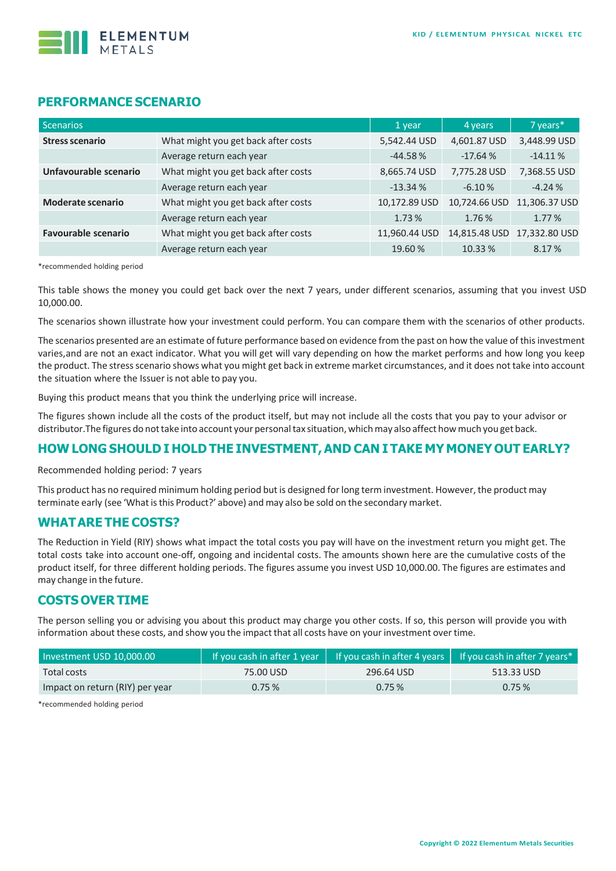

## **PERFORMANCE SCENARIO**

| <b>Scenarios</b>           |                                     | 1 year        | 4 years       | 7 years*      |
|----------------------------|-------------------------------------|---------------|---------------|---------------|
| <b>Stress scenario</b>     | What might you get back after costs | 5,542.44 USD  | 4,601.87 USD  | 3,448.99 USD  |
|                            | Average return each year            | $-44.58%$     | $-17.64%$     | $-14.11%$     |
| Unfavourable scenario      | What might you get back after costs | 8,665.74 USD  | 7,775.28 USD  | 7,368.55 USD  |
|                            | Average return each year            | $-13.34%$     | $-6.10%$      | $-4.24%$      |
| <b>Moderate scenario</b>   | What might you get back after costs | 10,172.89 USD | 10,724.66 USD | 11,306.37 USD |
|                            | Average return each year            | 1.73%         | 1.76%         | 1.77%         |
| <b>Favourable scenario</b> | What might you get back after costs | 11,960.44 USD | 14,815.48 USD | 17,332.80 USD |
|                            | Average return each year            | 19.60%        | 10.33 %       | 8.17%         |

\*recommended holding period

This table shows the money you could get back over the next 7 years, under different scenarios, assuming that you invest USD 10,000.00.

The scenarios shown illustrate how your investment could perform. You can compare them with the scenarios of other products.

The scenarios presented are an estimate of future performance based on evidence from the past on how the value of this investment varies,and are not an exact indicator. What you will get will vary depending on how the market performs and how long you keep the product. The stressscenario shows what you might get back in extreme market circumstances, and it does not take into account the situation where the Issuer is not able to pay you.

Buying this product means that you think the underlying price will increase.

The figures shown include all the costs of the product itself, but may not include all the costs that you pay to your advisor or distributor.The figures do nottake into account your personaltax situation, whichmay also affect howmuch you get back.

## **HOW LONG SHOULD I HOLD THE INVESTMENT,AND CAN I TAKE MY MONEY OUT EARLY?**

Recommended holding period: 7 years

This product has no required minimum holding period but is designed forlong term investment. However, the product may terminate early (see 'What is this Product?' above) and may also be sold on the secondary market.

#### **WHATARE THE COSTS?**

The Reduction in Yield (RIY) shows what impact the total costs you pay will have on the investment return you might get. The total costs take into account one-off, ongoing and incidental costs. The amounts shown here are the cumulative costs of the product itself, for three different holding periods. The figures assume you invest USD 10,000.00. The figures are estimates and may change in the future.

## **COSTS OVER TIME**

The person selling you or advising you about this product may charge you other costs. If so, this person will provide you with information about these costs, and show you the impact that all costs have on your investment over time.

| Investment USD 10,000.00        | If you cash in after 1 year | If you cash in after 4 years $\vert$ <sup>1</sup> | If you cash in after 7 years $*$ |
|---------------------------------|-----------------------------|---------------------------------------------------|----------------------------------|
| Total costs                     | 75.00 USD                   | 296.64 USD                                        | 513.33 USD                       |
| Impact on return (RIY) per year | 0.75%                       | 0.75%                                             | 0.75%                            |

\*recommended holding period